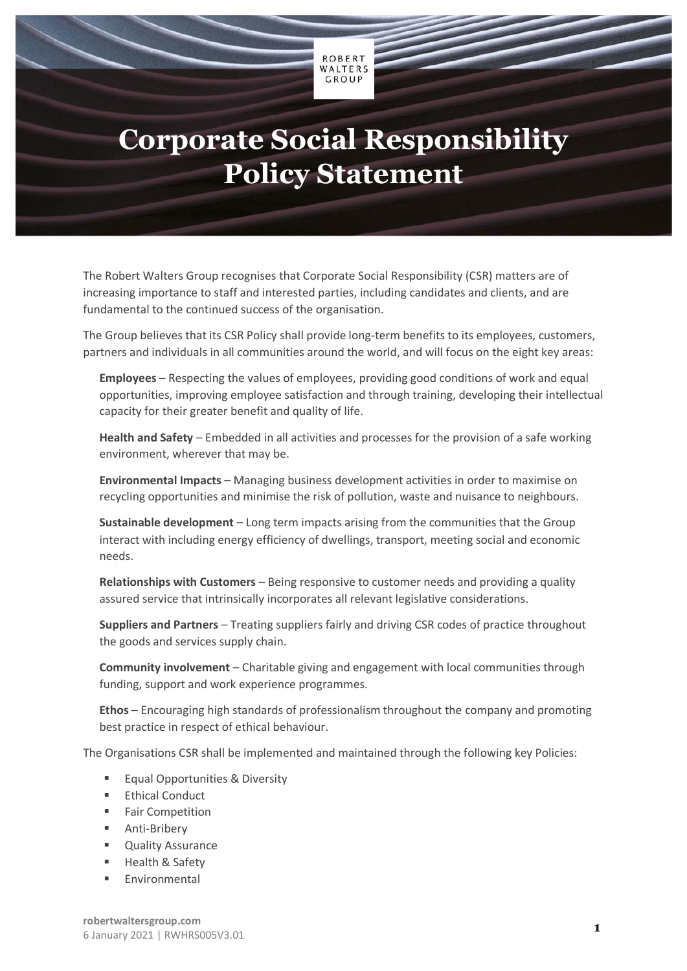## **Corporate Social Responsibility Policy Statement**

**ROBERT** WALTERS  $CROUP$ 

The Robert Walters Group recognises that Corporate Social Responsibility (CSR) matters are of increasing importance to staff and interested parties, including candidates and clients, and are fundamental to the continued success of the organisation.

The Group believes that its CSR Policy shall provide long-term benefits to its employees, customers, partners and individuals in all communities around the world, and will focus on the eight key areas:

**Employees** – Respecting the values of employees, providing good conditions of work and equal opportunities, improving employee satisfaction and through training, developing their intellectual capacity for their greater benefit and quality of life.

**Health and Safety** – Embedded in all activities and processes for the provision of a safe working environment, wherever that may be.

**Environmental Impacts** – Managing business development activities in order to maximise on recycling opportunities and minimise the risk of pollution, waste and nuisance to neighbours.

**Sustainable development** – Long term impacts arising from the communities that the Group interact with including energy efficiency of dwellings, transport, meeting social and economic needs.

**Relationships with Customers** – Being responsive to customer needs and providing a quality assured service that intrinsically incorporates all relevant legislative considerations.

**Suppliers and Partners** – Treating suppliers fairly and driving CSR codes of practice throughout the goods and services supply chain.

**Community involvement** – Charitable giving and engagement with local communities through funding, support and work experience programmes.

**Ethos** – Encouraging high standards of professionalism throughout the company and promoting best practice in respect of ethical behaviour.

The Organisations CSR shall be implemented and maintained through the following key Policies:

- Equal Opportunities & Diversity
- Ethical Conduct
- Fair Competition
- Anti-Bribery
- Quality Assurance
- Health & Safety
- **Environmental**